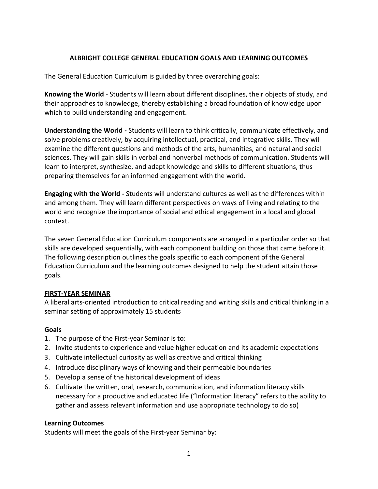### **ALBRIGHT COLLEGE GENERAL EDUCATION GOALS AND LEARNING OUTCOMES**

The General Education Curriculum is guided by three overarching goals:

**Knowing the World** - Students will learn about different disciplines, their objects of study, and their approaches to knowledge, thereby establishing a broad foundation of knowledge upon which to build understanding and engagement.

**Understanding the World -** Students will learn to think critically, communicate effectively, and solve problems creatively, by acquiring intellectual, practical, and integrative skills. They will examine the different questions and methods of the arts, humanities, and natural and social sciences. They will gain skills in verbal and nonverbal methods of communication. Students will learn to interpret, synthesize, and adapt knowledge and skills to different situations, thus preparing themselves for an informed engagement with the world.

**Engaging with the World -** Students will understand cultures as well as the differences within and among them. They will learn different perspectives on ways of living and relating to the world and recognize the importance of social and ethical engagement in a local and global context.

The seven General Education Curriculum components are arranged in a particular order so that skills are developed sequentially, with each component building on those that came before it. The following description outlines the goals specific to each component of the General Education Curriculum and the learning outcomes designed to help the student attain those goals.

#### **FIRST-YEAR SEMINAR**

A liberal arts-oriented introduction to critical reading and writing skills and critical thinking in a seminar setting of approximately 15 students

#### **Goals**

- 1. The purpose of the First-year Seminar is to:
- 2. Invite students to experience and value higher education and its academic expectations
- 3. Cultivate intellectual curiosity as well as creative and critical thinking
- 4. Introduce disciplinary ways of knowing and their permeable boundaries
- 5. Develop a sense of the historical development of ideas
- 6. Cultivate the written, oral, research, communication, and information literacy skills necessary for a productive and educated life ("Information literacy" refers to the ability to gather and assess relevant information and use appropriate technology to do so)

#### **Learning Outcomes**

Students will meet the goals of the First-year Seminar by: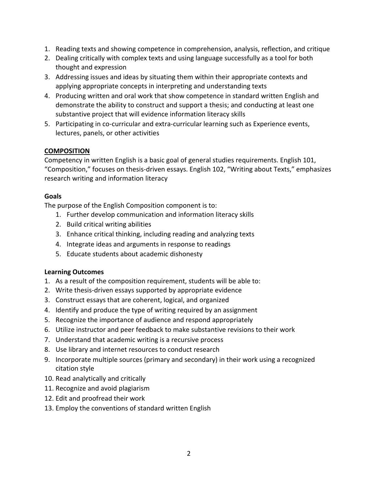- 1. Reading texts and showing competence in comprehension, analysis, reflection, and critique
- 2. Dealing critically with complex texts and using language successfully as a tool for both thought and expression
- 3. Addressing issues and ideas by situating them within their appropriate contexts and applying appropriate concepts in interpreting and understanding texts
- 4. Producing written and oral work that show competence in standard written English and demonstrate the ability to construct and support a thesis; and conducting at least one substantive project that will evidence information literacy skills
- 5. Participating in co-curricular and extra-curricular learning such as Experience events, lectures, panels, or other activities

# **COMPOSITION**

Competency in written English is a basic goal of general studies requirements. English 101, "Composition," focuses on thesis-driven essays. English 102, "Writing about Texts," emphasizes research writing and information literacy

# **Goals**

The purpose of the English Composition component is to:

- 1. Further develop communication and information literacy skills
- 2. Build critical writing abilities
- 3. Enhance critical thinking, including reading and analyzing texts
- 4. Integrate ideas and arguments in response to readings
- 5. Educate students about academic dishonesty

## **Learning Outcomes**

- 1. As a result of the composition requirement, students will be able to:
- 2. Write thesis-driven essays supported by appropriate evidence
- 3. Construct essays that are coherent, logical, and organized
- 4. Identify and produce the type of writing required by an assignment
- 5. Recognize the importance of audience and respond appropriately
- 6. Utilize instructor and peer feedback to make substantive revisions to their work
- 7. Understand that academic writing is a recursive process
- 8. Use library and internet resources to conduct research
- 9. Incorporate multiple sources (primary and secondary) in their work using a recognized citation style
- 10. Read analytically and critically
- 11. Recognize and avoid plagiarism
- 12. Edit and proofread their work
- 13. Employ the conventions of standard written English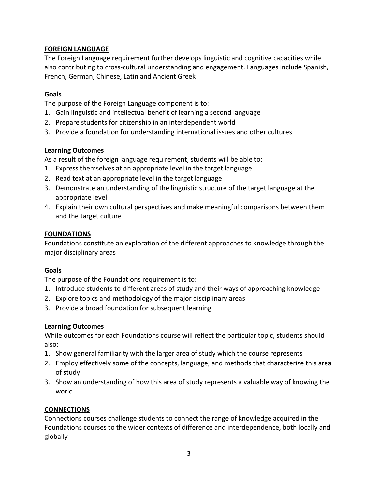# **FOREIGN LANGUAGE**

The Foreign Language requirement further develops linguistic and cognitive capacities while also contributing to cross-cultural understanding and engagement. Languages include Spanish, French, German, Chinese, Latin and Ancient Greek

## **Goals**

The purpose of the Foreign Language component is to:

- 1. Gain linguistic and intellectual benefit of learning a second language
- 2. Prepare students for citizenship in an interdependent world
- 3. Provide a foundation for understanding international issues and other cultures

### **Learning Outcomes**

As a result of the foreign language requirement, students will be able to:

- 1. Express themselves at an appropriate level in the target language
- 2. Read text at an appropriate level in the target language
- 3. Demonstrate an understanding of the linguistic structure of the target language at the appropriate level
- 4. Explain their own cultural perspectives and make meaningful comparisons between them and the target culture

### **FOUNDATIONS**

Foundations constitute an exploration of the different approaches to knowledge through the major disciplinary areas

#### **Goals**

The purpose of the Foundations requirement is to:

- 1. Introduce students to different areas of study and their ways of approaching knowledge
- 2. Explore topics and methodology of the major disciplinary areas
- 3. Provide a broad foundation for subsequent learning

#### **Learning Outcomes**

While outcomes for each Foundations course will reflect the particular topic, students should also:

- 1. Show general familiarity with the larger area of study which the course represents
- 2. Employ effectively some of the concepts, language, and methods that characterize this area of study
- 3. Show an understanding of how this area of study represents a valuable way of knowing the world

## **CONNECTIONS**

Connections courses challenge students to connect the range of knowledge acquired in the Foundations courses to the wider contexts of difference and interdependence, both locally and globally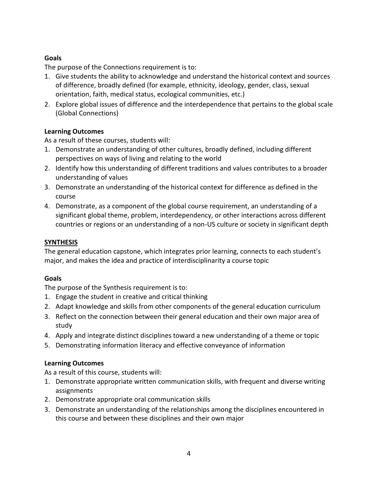# **Goals**

The purpose of the Connections requirement is to:

- 1. Give students the ability to acknowledge and understand the historical context and sources of difference, broadly defined (for example, ethnicity, ideology, gender, class, sexual orientation, faith, medical status, ecological communities, etc.)
- 2. Explore global issues of difference and the interdependence that pertains to the global scale (Global Connections)

## **Learning Outcomes**

As a result of these courses, students will:

- 1. Demonstrate an understanding of other cultures, broadly defined, including different perspectives on ways of living and relating to the world
- 2. Identify how this understanding of different traditions and values contributes to a broader understanding of values
- 3. Demonstrate an understanding of the historical context for difference as defined in the course
- 4. Demonstrate, as a component of the global course requirement, an understanding of a significant global theme, problem, interdependency, or other interactions across different countries or regions or an understanding of a non-US culture or society in significant depth

# **SYNTHESIS**

The general education capstone, which integrates prior learning, connects to each student's major, and makes the idea and practice of interdisciplinarity a course topic

## **Goals**

The purpose of the Synthesis requirement is to:

- 1. Engage the student in creative and critical thinking
- 2. Adapt knowledge and skills from other components of the general education curriculum
- 3. Reflect on the connection between their general education and their own major area of study
- 4. Apply and integrate distinct disciplines toward a new understanding of a theme or topic
- 5. Demonstrating information literacy and effective conveyance of information

## **Learning Outcomes**

As a result of this course, students will:

- 1. Demonstrate appropriate written communication skills, with frequent and diverse writing assignments
- 2. Demonstrate appropriate oral communication skills
- 3. Demonstrate an understanding of the relationships among the disciplines encountered in this course and between these disciplines and their own major